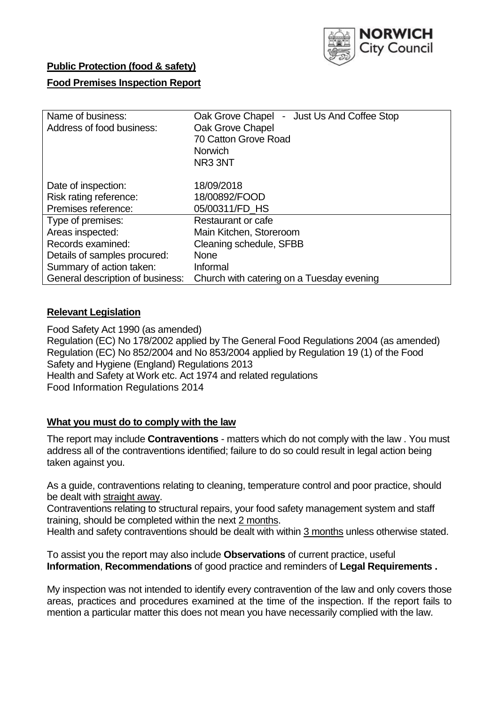

## **Public Protection (food & safety)**

### **Food Premises Inspection Report**

| Name of business:<br>Address of food business: | Oak Grove Chapel - Just Us And Coffee Stop<br>Oak Grove Chapel<br>70 Catton Grove Road<br><b>Norwich</b><br>NR3 3NT |
|------------------------------------------------|---------------------------------------------------------------------------------------------------------------------|
| Date of inspection:<br>Risk rating reference:  | 18/09/2018<br>18/00892/FOOD                                                                                         |
| Premises reference:                            | 05/00311/FD_HS                                                                                                      |
| Type of premises:                              | Restaurant or cafe                                                                                                  |
| Areas inspected:                               | Main Kitchen, Storeroom                                                                                             |
| Records examined:                              | Cleaning schedule, SFBB                                                                                             |
| Details of samples procured:                   | <b>None</b>                                                                                                         |
| Summary of action taken:                       | Informal                                                                                                            |
| General description of business:               | Church with catering on a Tuesday evening                                                                           |

### **Relevant Legislation**

Food Safety Act 1990 (as amended) Regulation (EC) No 178/2002 applied by The General Food Regulations 2004 (as amended) Regulation (EC) No 852/2004 and No 853/2004 applied by Regulation 19 (1) of the Food Safety and Hygiene (England) Regulations 2013 Health and Safety at Work etc. Act 1974 and related regulations Food Information Regulations 2014

### **What you must do to comply with the law**

The report may include **Contraventions** - matters which do not comply with the law . You must address all of the contraventions identified; failure to do so could result in legal action being taken against you.

As a guide, contraventions relating to cleaning, temperature control and poor practice, should be dealt with straight away.

Contraventions relating to structural repairs, your food safety management system and staff training, should be completed within the next 2 months.

Health and safety contraventions should be dealt with within 3 months unless otherwise stated.

To assist you the report may also include **Observations** of current practice, useful **Information**, **Recommendations** of good practice and reminders of **Legal Requirements .**

My inspection was not intended to identify every contravention of the law and only covers those areas, practices and procedures examined at the time of the inspection. If the report fails to mention a particular matter this does not mean you have necessarily complied with the law.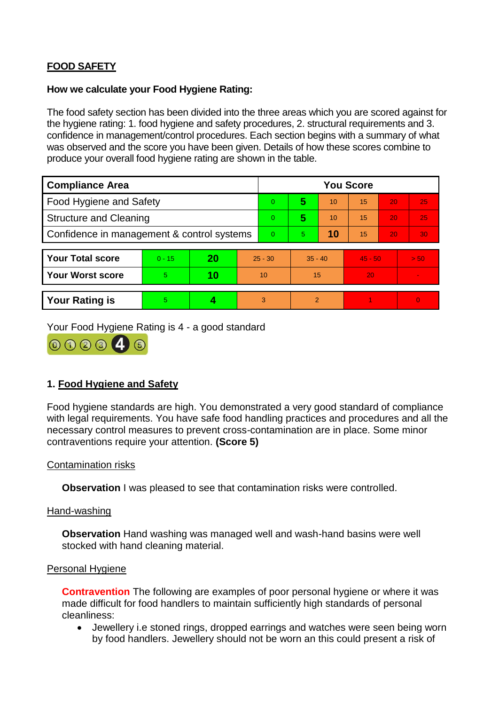# **FOOD SAFETY**

### **How we calculate your Food Hygiene Rating:**

The food safety section has been divided into the three areas which you are scored against for the hygiene rating: 1. food hygiene and safety procedures, 2. structural requirements and 3. confidence in management/control procedures. Each section begins with a summary of what was observed and the score you have been given. Details of how these scores combine to produce your overall food hygiene rating are shown in the table.

| <b>Compliance Area</b>                     |          |    |                | <b>You Score</b> |           |    |           |    |                |  |  |
|--------------------------------------------|----------|----|----------------|------------------|-----------|----|-----------|----|----------------|--|--|
| Food Hygiene and Safety                    |          |    |                | $\Omega$         | 5         | 10 | 15        | 20 | 25             |  |  |
| <b>Structure and Cleaning</b>              |          |    |                | $\overline{0}$   | 5         | 10 | 15        | 20 | 25             |  |  |
| Confidence in management & control systems |          |    | $\overline{0}$ | 5                | 10        | 15 | 20        | 30 |                |  |  |
|                                            |          |    |                |                  |           |    |           |    |                |  |  |
| <b>Your Total score</b>                    | $0 - 15$ | 20 | $25 - 30$      |                  | $35 - 40$ |    | $45 - 50$ |    | > 50           |  |  |
| Your Worst score                           | 5.       | 10 | 10             |                  | 15        |    | 20        |    |                |  |  |
|                                            |          |    |                |                  |           |    |           |    |                |  |  |
| <b>Your Rating is</b>                      | 5        |    |                | 3                | 2         |    |           |    | $\overline{0}$ |  |  |

Your Food Hygiene Rating is 4 - a good standard



## **1. Food Hygiene and Safety**

Food hygiene standards are high. You demonstrated a very good standard of compliance with legal requirements. You have safe food handling practices and procedures and all the necessary control measures to prevent cross-contamination are in place. Some minor contraventions require your attention. **(Score 5)**

### Contamination risks

**Observation** I was pleased to see that contamination risks were controlled.

#### Hand-washing

**Observation** Hand washing was managed well and wash-hand basins were well stocked with hand cleaning material.

### Personal Hygiene

**Contravention** The following are examples of poor personal hygiene or where it was made difficult for food handlers to maintain sufficiently high standards of personal cleanliness:

 Jewellery i.e stoned rings, dropped earrings and watches were seen being worn by food handlers. Jewellery should not be worn an this could present a risk of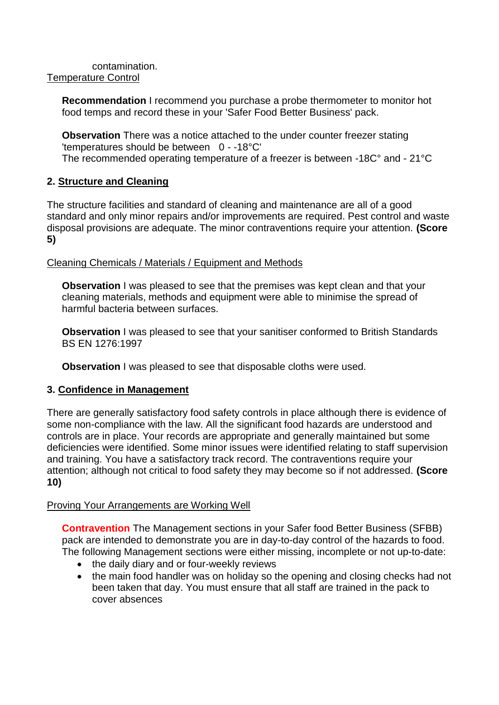contamination. Temperature Control

> **Recommendation** I recommend you purchase a probe thermometer to monitor hot food temps and record these in your 'Safer Food Better Business' pack.

> **Observation** There was a notice attached to the under counter freezer stating 'temperatures should be between 0 - -18°C' The recommended operating temperature of a freezer is between -18C° and - 21°C

## **2. Structure and Cleaning**

The structure facilities and standard of cleaning and maintenance are all of a good standard and only minor repairs and/or improvements are required. Pest control and waste disposal provisions are adequate. The minor contraventions require your attention. **(Score 5)**

## Cleaning Chemicals / Materials / Equipment and Methods

**Observation** I was pleased to see that the premises was kept clean and that your cleaning materials, methods and equipment were able to minimise the spread of harmful bacteria between surfaces.

**Observation** I was pleased to see that your sanitiser conformed to British Standards BS EN 1276:1997

**Observation** I was pleased to see that disposable cloths were used.

## **3. Confidence in Management**

There are generally satisfactory food safety controls in place although there is evidence of some non-compliance with the law. All the significant food hazards are understood and controls are in place. Your records are appropriate and generally maintained but some deficiencies were identified. Some minor issues were identified relating to staff supervision and training. You have a satisfactory track record. The contraventions require your attention; although not critical to food safety they may become so if not addressed. **(Score 10)**

## Proving Your Arrangements are Working Well

**Contravention** The Management sections in your Safer food Better Business (SFBB) pack are intended to demonstrate you are in day-to-day control of the hazards to food. The following Management sections were either missing, incomplete or not up-to-date:

- the daily diary and or four-weekly reviews
- the main food handler was on holiday so the opening and closing checks had not been taken that day. You must ensure that all staff are trained in the pack to cover absences